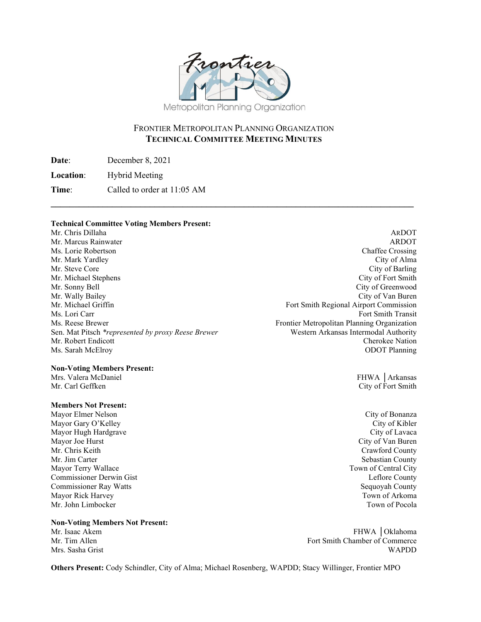

# FRONTIER METROPOLITAN PLANNING ORGANIZATION **TECHNICAL COMMITTEE MEETING MINUTES**

**\_\_\_\_\_\_\_\_\_\_\_\_\_\_\_\_\_\_\_\_\_\_\_\_\_\_\_\_\_\_\_\_\_\_\_\_\_\_\_\_\_\_\_\_\_\_\_\_\_\_\_\_\_\_\_\_\_\_\_\_\_\_\_\_\_\_\_\_\_\_\_\_\_\_\_\_\_** 

**Date**: December 8, 2021

**Location**: Hybrid Meeting

**Time**: Called to order at 11:05 AM

#### **Technical Committee Voting Members Present:**

Mr. Chris Dillaha ARDOT Mr. Marcus Rainwater **ARDOT** ARDOT Ms. Lorie Robertson **Chaffee Crossing** Chaffee Crossing Mr. Mark Yardley City of Alma Mr. Steve Core City of Barling City of Barling Mr. Michael Stephens City of Fort Smith Mr. Sonny Bell City of Greenwood Mr. Wally Bailey City of Van Buren Mr. Michael Griffin Fort Smith Regional Airport Commission Ms. Lori Carr Fort Smith Transit Ms. Reese Brewer Frontier Metropolitan Planning Organization Sen. Mat Pitsch *\*represented by proxy Reese Brewer* Western Arkansas Intermodal Authority Mr. Robert Endicott Cherokee Nation Ms. Sarah McElroy ODOT Planning

#### **Non-Voting Members Present:**

Mr. Carl Geffken City of Fort Smith

## **Members Not Present:**

Mayor Elmer Nelson City of Bonanza Mayor Gary O'Kelley City of Kibler<br>
Mayor Hugh Hardgrave City of Lavaca Mayor Hugh Hardgrave Mayor Joe Hurst City of Van Buren City of Van Buren City of Van Buren City of Van Buren City of Van Buren City of Van Buren City of Van Buren City of Van Buren City of Van Buren City of Van Buren City of Van Buren City of Mr. Chris Keith Crawford County Mr. Jim Carter Sebastian County Mayor Terry Wallace Town of Central City Commissioner Derwin Gist Leflore County Commissioner Ray Watts Sequoyah County Mayor Rick Harvey **The Community Community** Community Community Community Community Community Community Community Community Community Community Community Community Community Community Community Community Community Communit Mr. John Limbocker Town of Pocola

**Non-Voting Members Not Present:** Mr. Isaac Akem FHWA │Oklahoma<br>Mr. Tim Allen

Mrs. Valera McDaniel FHWA │Arkansas

Fort Smith Chamber of Commerce Mrs. Sasha Grist WAPDD

**Others Present:** Cody Schindler, City of Alma; Michael Rosenberg, WAPDD; Stacy Willinger, Frontier MPO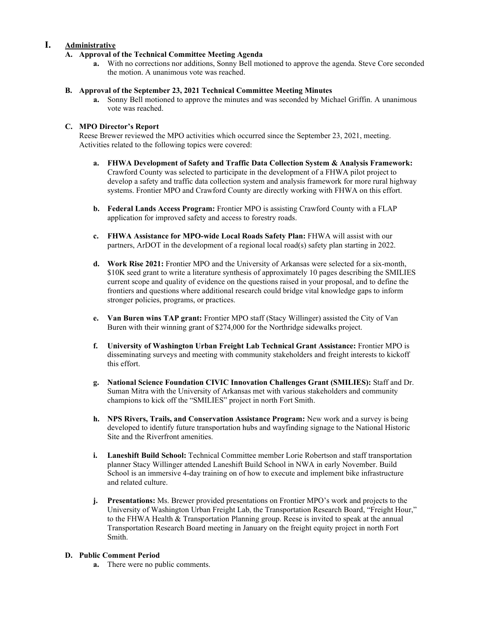# **I. Administrative**

## **A. Approval of the Technical Committee Meeting Agenda**

**a.** With no corrections nor additions, Sonny Bell motioned to approve the agenda. Steve Core seconded the motion. A unanimous vote was reached.

## **B. Approval of the September 23, 2021 Technical Committee Meeting Minutes**

**a.** Sonny Bell motioned to approve the minutes and was seconded by Michael Griffin. A unanimous vote was reached.

### **C. MPO Director's Report**

Reese Brewer reviewed the MPO activities which occurred since the September 23, 2021, meeting. Activities related to the following topics were covered:

- **a. FHWA Development of Safety and Traffic Data Collection System & Analysis Framework:**  Crawford County was selected to participate in the development of a FHWA pilot project to develop a safety and traffic data collection system and analysis framework for more rural highway systems. Frontier MPO and Crawford County are directly working with FHWA on this effort.
- **b. Federal Lands Access Program:** Frontier MPO is assisting Crawford County with a FLAP application for improved safety and access to forestry roads.
- **c. FHWA Assistance for MPO-wide Local Roads Safety Plan:** FHWA will assist with our partners, ArDOT in the development of a regional local road(s) safety plan starting in 2022.
- **d. Work Rise 2021:** Frontier MPO and the University of Arkansas were selected for a six-month, \$10K seed grant to write a literature synthesis of approximately 10 pages describing the SMILIES current scope and quality of evidence on the questions raised in your proposal, and to define the frontiers and questions where additional research could bridge vital knowledge gaps to inform stronger policies, programs, or practices.
- **e. Van Buren wins TAP grant:** Frontier MPO staff (Stacy Willinger) assisted the City of Van Buren with their winning grant of \$274,000 for the Northridge sidewalks project.
- **f. University of Washington Urban Freight Lab Technical Grant Assistance:** Frontier MPO is disseminating surveys and meeting with community stakeholders and freight interests to kickoff this effort.
- **g. National Science Foundation CIVIC Innovation Challenges Grant (SMILIES):** Staff and Dr. Suman Mitra with the University of Arkansas met with various stakeholders and community champions to kick off the "SMILIES" project in north Fort Smith.
- **h. NPS Rivers, Trails, and Conservation Assistance Program:** New work and a survey is being developed to identify future transportation hubs and wayfinding signage to the National Historic Site and the Riverfront amenities.
- **i. Laneshift Build School:** Technical Committee member Lorie Robertson and staff transportation planner Stacy Willinger attended Laneshift Build School in NWA in early November. Build School is an immersive 4-day training on of how to execute and implement bike infrastructure and related culture.
- **j. Presentations:** Ms. Brewer provided presentations on Frontier MPO's work and projects to the University of Washington Urban Freight Lab, the Transportation Research Board, "Freight Hour," to the FHWA Health & Transportation Planning group. Reese is invited to speak at the annual Transportation Research Board meeting in January on the freight equity project in north Fort Smith.

## **D. Public Comment Period**

**a.** There were no public comments.